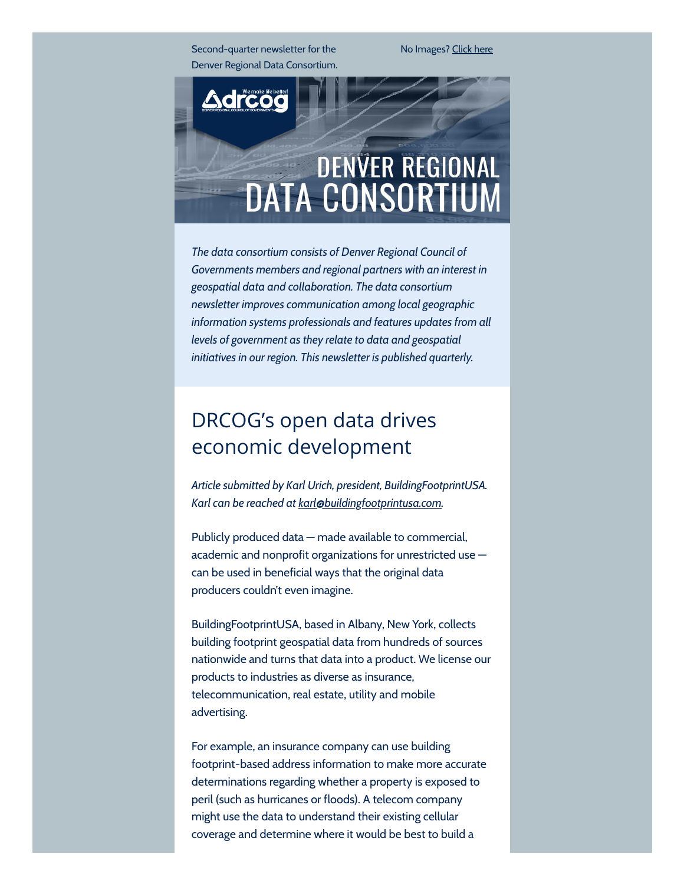Second-quarter newsletter for the Denver Regional Data Consortium. No Images? [Click](http://drcog.createsend1.com/t/d-e-ohullll-l-tt/) here



The data consortium consists of Denver Regional Council of Governments members and regional partners with an interest in geospatial data and collaboration. The data consortium newsletter improves communication among local geographic information systems professionals and features updates from all levels of government as they relate to data and geospatial initiatives in our region. This newsletter is published quarterly.

# DRCOG's open data drives economic development

Article submitted by Karl Urich, president, BuildingFootprintUSA. Karl can be reached at [karl](mailto:karl@buildingfootprintusa.com)[@](mailto:karl@buildingfootprintusa.com)[buildingfootprintusa.com.](mailto:karl@buildingfootprintusa.com)

Publicly produced data — made available to commercial, academic and nonprofit organizations for unrestricted use can be used in beneficial ways that the original data producers couldn't even imagine.

BuildingFootprintUSA, based in Albany, New York, collects building footprint geospatial data from hundreds of sources nationwide and turns that data into a product. We license our products to industries as diverse as insurance, telecommunication, real estate, utility and mobile advertising.

For example, an insurance company can use building footprint-based address information to make more accurate determinations regarding whether a property is exposed to peril (such as hurricanes or floods). A telecom company might use the data to understand their existing cellular coverage and determine where it would be best to build a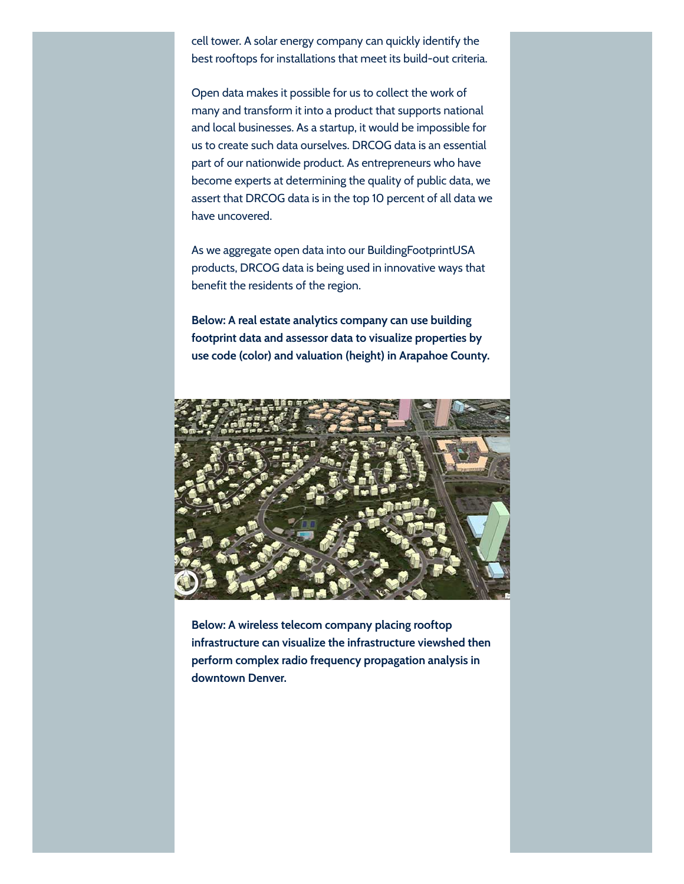cell tower. A solar energy company can quickly identify the best rooftops for installations that meet its build-out criteria.

Open data makes it possible for us to collect the work of many and transform it into a product that supports national and local businesses. As a startup, it would be impossible for us to create such data ourselves. DRCOG data is an essential part of our nationwide product. As entrepreneurs who have become experts at determining the quality of public data, we assert that DRCOG data is in the top 10 percent of all data we have uncovered.

As we aggregate open data into our BuildingFootprintUSA products, DRCOG data is being used in innovative ways that benefit the residents of the region.

Below: A real estate analytics company can use building footprint data and assessor data to visualize properties by use code (color) and valuation (height) in Arapahoe County.



Below: A wireless telecom company placing rooftop infrastructure can visualize the infrastructure viewshed then perform complex radio frequency propagation analysis in downtown Denver.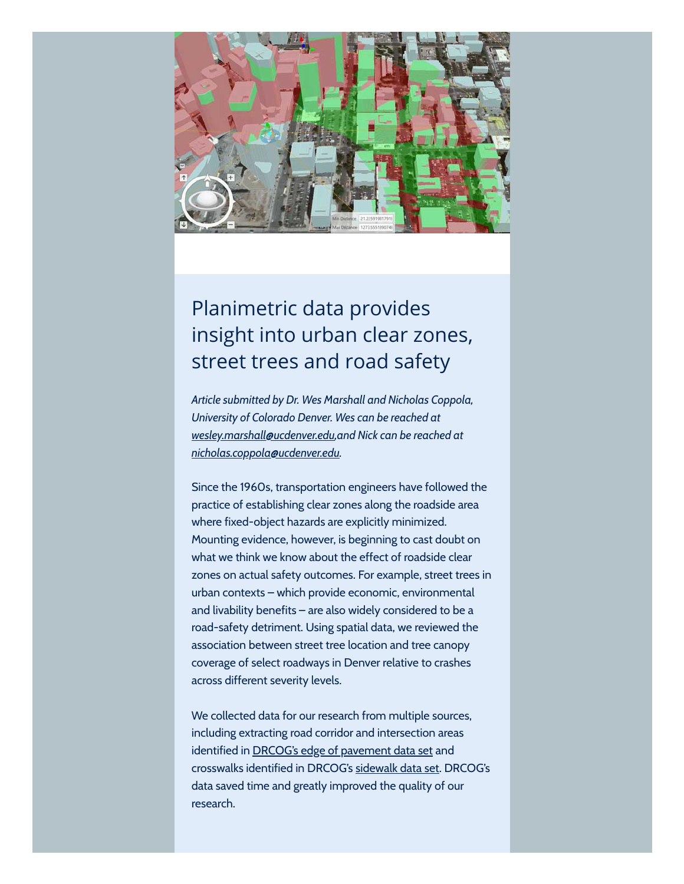

# Planimetric data provides insight into urban clear zones, street trees and road safety

Article submitted by Dr. Wes Marshall and Nicholas Coppola, University of Colorado Denver. Wes can be reached at [wesley.marshall@ucdenver.edu,](mailto:wesley.marshall@ucdenver.edu) and Nick can be reached at [nicholas.coppola@ucdenver.edu](mailto:nicholas.coppola@ucdenver.edu).

Since the 1960s, transportation engineers have followed the practice of establishing clear zones along the roadside area where fixed-object hazards are explicitly minimized. Mounting evidence, however, is beginning to cast doubt on what we think we know about the effect of roadside clear zones on actual safety outcomes. For example, street trees in urban contexts – which provide economic, environmental and livability benefits – are also widely considered to be a road-safety detriment. Using spatial data, we reviewed the association between street tree location and tree canopy coverage of select roadways in Denver relative to crashes across different severity levels.

We collected data for our research from multiple sources, including extracting road corridor and intersection areas identified in **DRCOG's edge of [pavement](http://drcog.createsend1.com/t/d-l-ohullll-l-y/) data set** and crosswalks identified in DRCOG's [sidewalk](http://drcog.createsend1.com/t/d-l-ohullll-l-j/) data set. DRCOG's data saved time and greatly improved the quality of our research.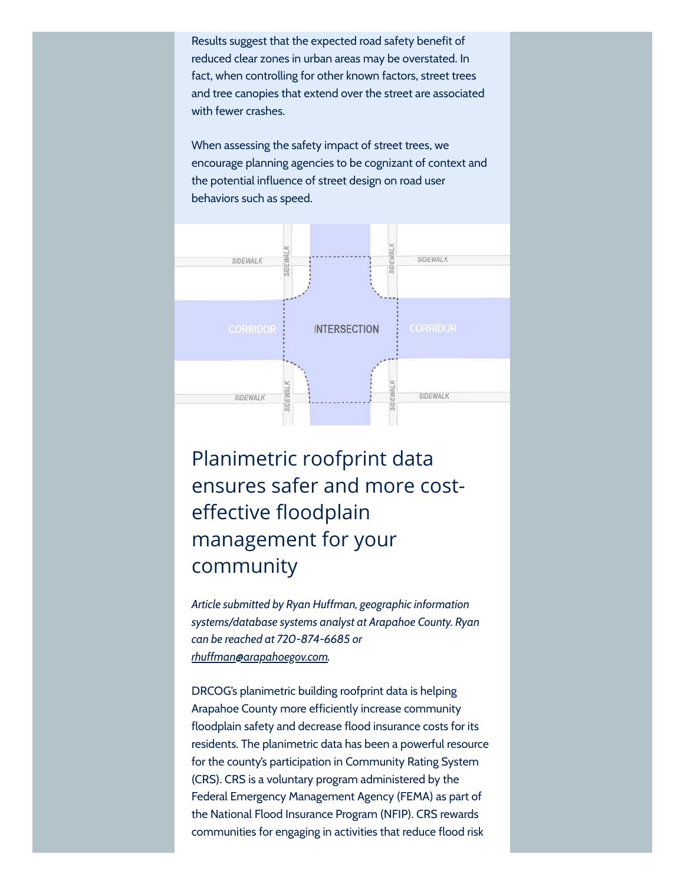Results suggest that the expected road safety benefit of reduced clear zones in urban areas may be overstated. In fact, when controlling for other known factors, street trees and tree canopies that extend over the street are associated with fewer crashes.

When assessing the safety impact of street trees, we encourage planning agencies to be cognizant of context and the potential influence of street design on road user behaviors such as speed.



# Planimetric roofprint data ensures safer and more costeffective floodplain management for your community

Article submitted by Ryan Huffman, geographic information systems/database systems analyst at Arapahoe County. Ryan can be reached at 720-874-6685 or [rhuffman@arapahoegov.com.](mailto:rhuffman@arapahoegov.com)

DRCOG's planimetric building roofprint data is helping Arapahoe County more efficiently increase community floodplain safety and decrease flood insurance costs for its residents. The planimetric data has been a powerful resource for the county's participation in Community Rating System (CRS). CRS is a voluntary program administered by the Federal Emergency Management Agency (FEMA) as part of the National Flood Insurance Program (NFIP). CRS rewards communities for engaging in activities that reduce flood risk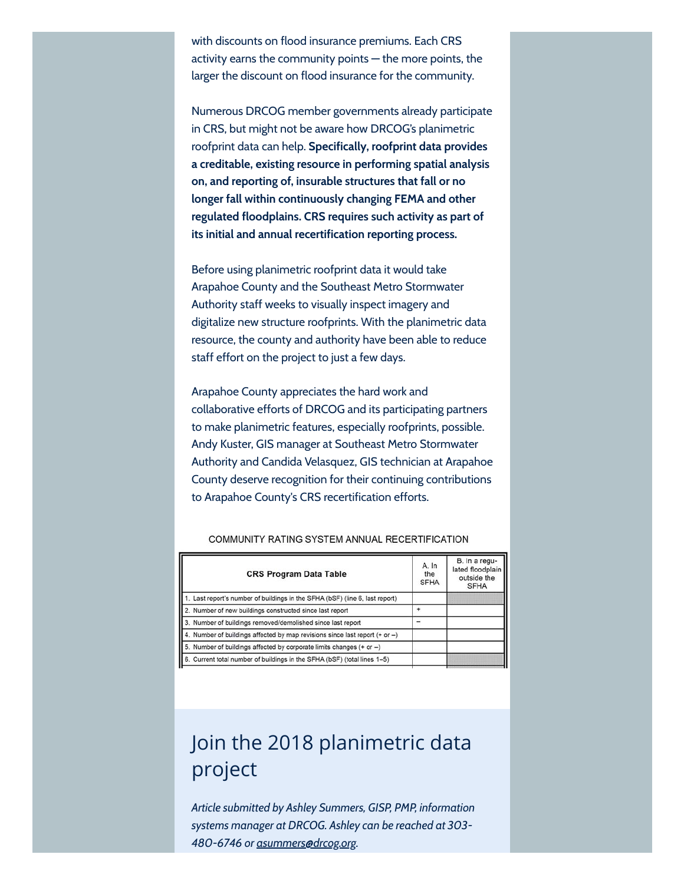with discounts on flood insurance premiums. Each CRS activity earns the community points — the more points, the larger the discount on flood insurance for the community.

Numerous DRCOG member governments already participate in CRS, but might not be aware how DRCOG's planimetric roofprint data can help. Specifically, roofprint data provides a creditable, existing resource in performing spatial analysis on, and reporting of, insurable structures that fall or no longer fall within continuously changing FEMA and other regulated floodplains. CRS requires such activity as part of its initial and annual recertification reporting process.

Before using planimetric roofprint data it would take Arapahoe County and the Southeast Metro Stormwater Authority staff weeks to visually inspect imagery and digitalize new structure roofprints. With the planimetric data resource, the county and authority have been able to reduce staff effort on the project to just a few days.

Arapahoe County appreciates the hard work and collaborative efforts of DRCOG and its participating partners to make planimetric features, especially roofprints, possible. Andy Kuster, GIS manager at Southeast Metro Stormwater Authority and Candida Velasquez, GIS technician at Arapahoe County deserve recognition for their continuing contributions to Arapahoe County's CRS recertification efforts.

| <b>CRS Program Data Table</b>                                                | A. In<br>the<br><b>SFHA</b> | B. In a regu-<br>lated floodplain<br>outside the<br><b>SFHA</b> |
|------------------------------------------------------------------------------|-----------------------------|-----------------------------------------------------------------|
| 1. Last report's number of buildings in the SFHA (bSF) (line 6, last report) |                             |                                                                 |
| 2. Number of new buildings constructed since last report                     |                             |                                                                 |
| 3. Number of buildings removed/demolished since last report                  |                             |                                                                 |
| 4. Number of buildings affected by map revisions since last report (+ or -)  |                             |                                                                 |
| 5. Number of buildings affected by corporate limits changes (+ or -)         |                             |                                                                 |
| 6. Current total number of buildings in the SFHA (bSF) (total lines 1-5)     |                             |                                                                 |

#### COMMUNITY RATING SYSTEM ANNUAL RECERTIFICATION

# Join the 2018 planimetric data project

Article submitted by Ashley Summers, GISP, PMP, information systems manager at DRCOG. Ashley can be reached at 303 480-6746 or [asummers@drcog.org](mailto:asummers@drcog.org).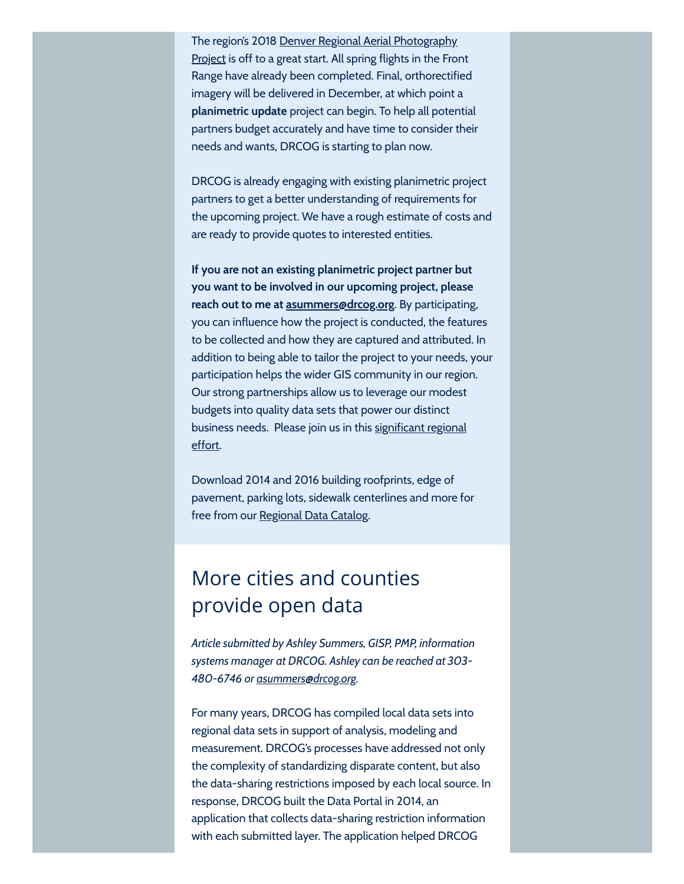The region's 2018 Denver Regional Aerial [Photography](http://drcog.createsend1.com/t/d-l-ohullll-l-t/) Project is off to a great start. All spring flights in the Front Range have already been completed. Final, orthorectified imagery will be delivered in December, at which point a planimetric update project can begin. To help all potential partners budget accurately and have time to consider their needs and wants, DRCOG is starting to plan now.

DRCOG is already engaging with existing planimetric project partners to get a better understanding of requirements for the upcoming project. We have a rough estimate of costs and are ready to provide quotes to interested entities.

If you are not an existing planimetric project partner but you want to be involved in our upcoming project, please reach out to me at [asummers@drcog.org](mailto:asummers@drcog.org). By participating, you can influence how the project is conducted, the features to be collected and how they are captured and attributed. In addition to being able to tailor the project to your needs, your participation helps the wider GIS community in our region. Our strong partnerships allow us to leverage our modest budgets into quality data sets that power our distinct business needs. Please join us in this [significant](http://drcog.createsend1.com/t/d-l-ohullll-l-i/) regional effort.

Download 2014 and 2016 building roofprints, edge of pavement, parking lots, sidewalk centerlines and more for free from our [Regional](http://drcog.createsend1.com/t/d-l-ohullll-l-h/) Data Catalog.

## More cities and counties provide open data

Article submitted by Ashley Summers, GISP, PMP, information systems manager at DRCOG. Ashley can be reached at 303 480-6746 or [asummers@drcog.org](mailto:asummers@drcog.org).

For many years, DRCOG has compiled local data sets into regional data sets in support of analysis, modeling and measurement. DRCOG's processes have addressed not only the complexity of standardizing disparate content, but also the data-sharing restrictions imposed by each local source. In response, DRCOG built the Data Portal in 2014, an application that collects data-sharing restriction information with each submitted layer. The application helped DRCOG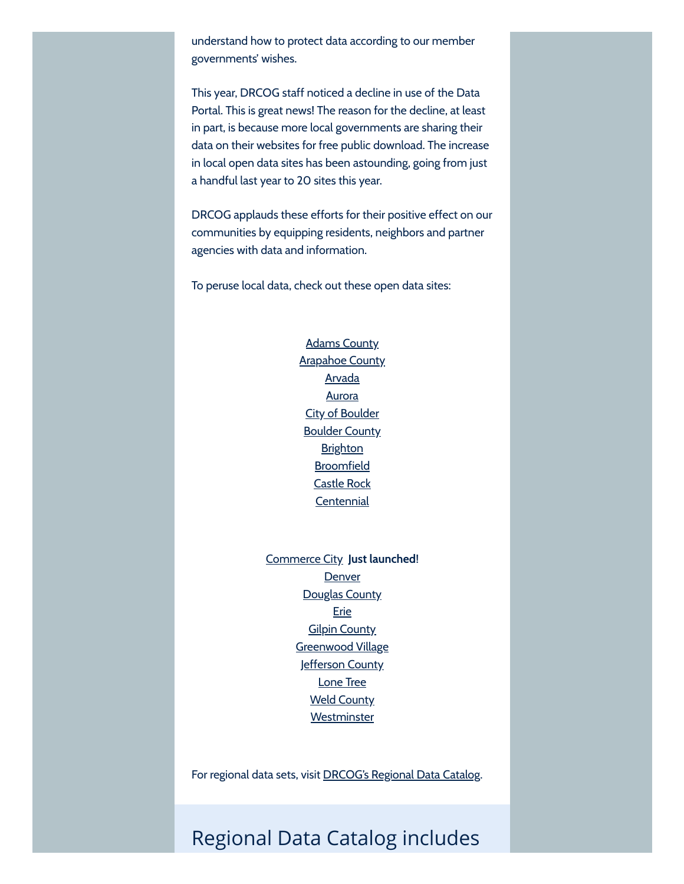understand how to protect data according to our member governments' wishes.

This year, DRCOG staff noticed a decline in use of the Data Portal. This is great news! The reason for the decline, at least in part, is because more local governments are sharing their data on their websites for free public download. The increase in local open data sites has been astounding, going from just a handful last year to 20 sites this year.

DRCOG applauds these efforts for their positive effect on our communities by equipping residents, neighbors and partner agencies with data and information.

To peruse local data, check out these open data sites:

Adams [County](http://drcog.createsend1.com/t/d-l-ohullll-l-k/) [Arapahoe](http://drcog.createsend1.com/t/d-l-ohullll-l-u/) County [Arvada](http://drcog.createsend1.com/t/d-l-ohullll-l-o/) **[Aurora](http://drcog.createsend1.com/t/d-l-ohullll-l-m/)** City of [Boulder](http://drcog.createsend1.com/t/d-l-ohullll-l-c/) [Boulder](http://drcog.createsend1.com/t/d-l-ohullll-l-q/) County **[Brighton](http://drcog.createsend1.com/t/d-l-ohullll-l-a/) [Broomfield](http://drcog.createsend1.com/t/d-l-ohullll-l-z/)** [Castle](http://drcog.createsend1.com/t/d-l-ohullll-l-v/) Rock **[Centennial](http://drcog.createsend1.com/t/d-l-ohullll-l-e/)** 

[Commerce](http://drcog.createsend1.com/t/d-l-ohullll-l-s/) City Just launched! **[Denver](http://drcog.createsend1.com/t/d-l-ohullll-l-g/) [Douglas](http://drcog.createsend1.com/t/d-l-ohullll-l-w/) County** [Erie](http://drcog.createsend1.com/t/d-l-ohullll-l-yd/) **Gilpin [County](http://drcog.createsend1.com/t/d-l-ohullll-l-yh/)** [Greenwood](http://drcog.createsend1.com/t/d-l-ohullll-l-yk/) Village [Jefferson](http://drcog.createsend1.com/t/d-l-ohullll-l-yu/) County [Lone](http://drcog.createsend1.com/t/d-l-ohullll-l-jl/) Tree Weld [County](http://drcog.createsend1.com/t/d-l-ohullll-l-jr/) **[Westminster](http://drcog.createsend1.com/t/d-l-ohullll-l-jy/)** 

For regional data sets, visit [DRCOG's](http://drcog.createsend1.com/t/d-l-ohullll-l-jj/) Regional Data Catalog.

## Regional Data Catalog includes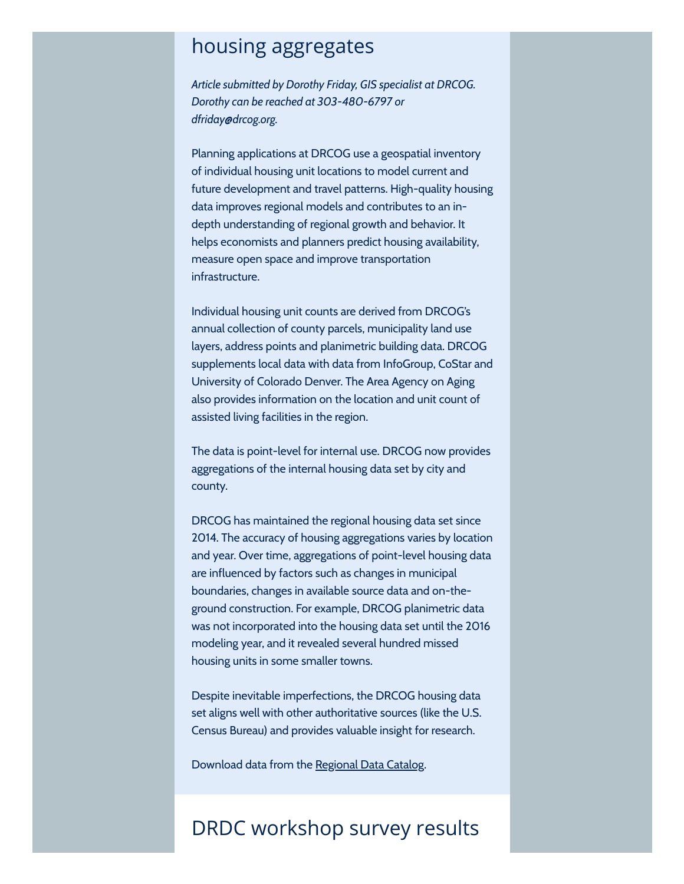## housing aggregates

Article submitted by Dorothy Friday, GIS specialist at DRCOG. Dorothy can be reached at 303-480-6797 or dfriday@drcog.org.

Planning applications at DRCOG use a geospatial inventory of individual housing unit locations to model current and future development and travel patterns. High-quality housing data improves regional models and contributes to an indepth understanding of regional growth and behavior. It helps economists and planners predict housing availability, measure open space and improve transportation infrastructure.

Individual housing unit counts are derived from DRCOG's annual collection of county parcels, municipality land use layers, address points and planimetric building data. DRCOG supplements local data with data from InfoGroup, CoStar and University of Colorado Denver. The Area Agency on Aging also provides information on the location and unit count of assisted living facilities in the region.

The data is point-level for internal use. DRCOG now provides aggregations of the internal housing data set by city and county.

DRCOG has maintained the regional housing data set since 2014. The accuracy of housing aggregations varies by location and year. Over time, aggregations of point-level housing data are influenced by factors such as changes in municipal boundaries, changes in available source data and on-theground construction. For example, DRCOG planimetric data was not incorporated into the housing data set until the 2016 modeling year, and it revealed several hundred missed housing units in some smaller towns.

Despite inevitable imperfections, the DRCOG housing data set aligns well with other authoritative sources (like the U.S. Census Bureau) and provides valuable insight for research.

Download data from the [Regional](http://drcog.createsend1.com/t/d-l-ohullll-l-jt/) Data Catalog.

## DRDC workshop survey results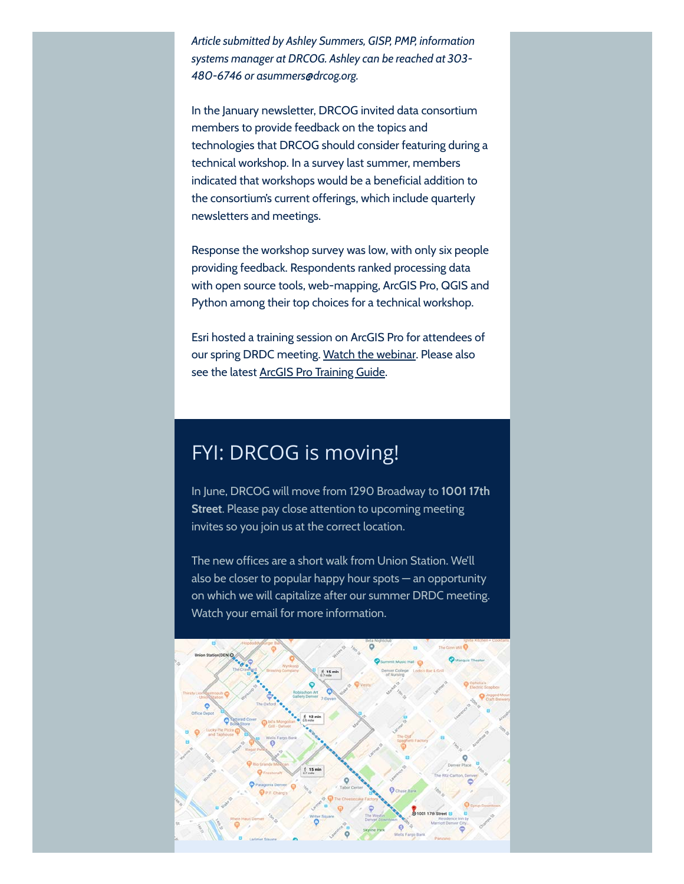Article submitted by Ashley Summers, GISP, PMP, information systems manager at DRCOG. Ashley can be reached at 303- 480-6746 or asummers@drcog.org.

In the January newsletter, DRCOG invited data consortium members to provide feedback on the topics and technologies that DRCOG should consider featuring during a technical workshop. In a survey last summer, members indicated that workshops would be a beneficial addition to the consortium's current offerings, which include quarterly newsletters and meetings.

Response the workshop survey was low, with only six people providing feedback. Respondents ranked processing data with open source tools, web-mapping, ArcGIS Pro, QGIS and Python among their top choices for a technical workshop.

Esri hosted a training session on ArcGIS Pro for attendees of our spring DRDC meeting. Watch the [webinar](http://drcog.createsend1.com/t/d-l-ohullll-l-ji/). Please also see the latest ArcGIS Pro [Training Guide.](http://drcog.createsend1.com/t/d-l-ohullll-l-jd/)

## FYI: DRCOG is moving!

In June, DRCOG will move from 1290 Broadway to 1001 17th Street. Please pay close attention to upcoming meeting invites so you join us at the correct location.

The new offices are a short walk from Union Station. We'll also be closer to popular happy hour spots — an opportunity on which we will capitalize after our summer DRDC meeting. Watch your email for more information.

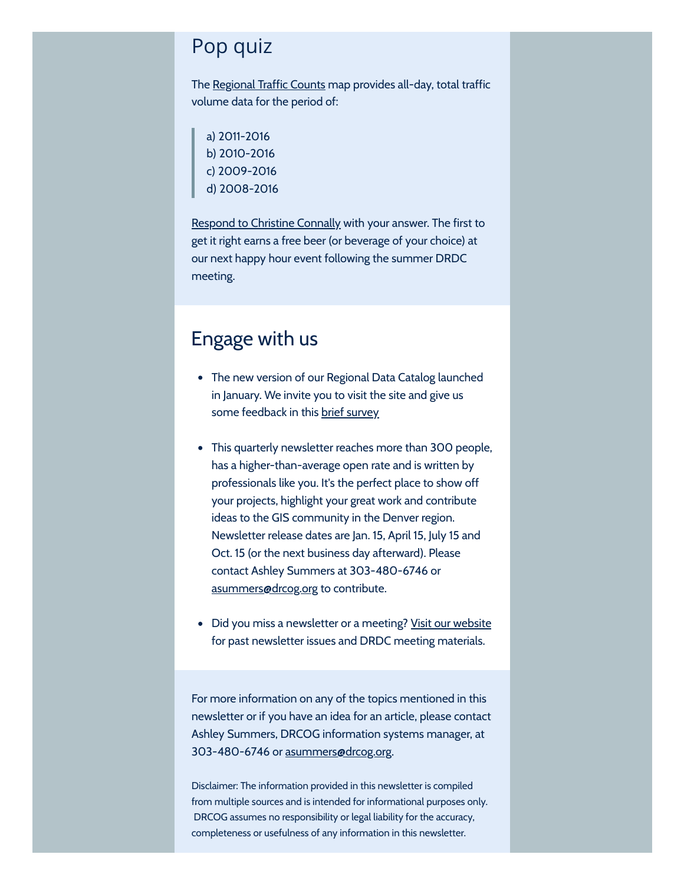#### Pop quiz

The [Regional](http://drcog.createsend1.com/t/d-l-ohullll-l-jh/) Traffic Counts map provides all-day, total traffic volume data for the period of:

a) 2011-2016 b) 2010-2016 c) 2009-2016 d) 2008-2016

**Respond to [Christine](mailto:cconnally@drcog.org) Connally with your answer. The first to** get it right earns a free beer (or beverage of your choice) at our next happy hour event following the summer DRDC meeting.

## Engage with us

- The new version of our Regional Data Catalog launched in January. We invite you to visit the site and give us some feedback in this brief [survey](http://drcog.createsend1.com/t/d-l-ohullll-l-jk/)
- This quarterly newsletter reaches more than 300 people, has a higher-than-average open rate and is written by professionals like you. It's the perfect place to show off your projects, highlight your great work and contribute ideas to the GIS community in the Denver region. Newsletter release dates are Jan. 15, April 15, July 15 and Oct. 15 (or the next business day afterward). Please contact Ashley Summers at 303-480-6746 or [asummers@drcog.org](mailto:asummers@drcog.org) to contribute.
- Did you miss a newsletter or a meeting? Visit our [website](http://drcog.createsend1.com/t/d-l-ohullll-l-ju/) for past newsletter issues and DRDC meeting materials.

For more information on any of the topics mentioned in this newsletter or if you have an idea for an article, please contact Ashley Summers, DRCOG information systems manager, at 303-480-6746 or [asummers@drcog.org.](mailto:asummers@drcog.org)

Disclaimer: The information provided in this newsletter is compiled from multiple sources and is intended for informational purposes only. DRCOG assumes no responsibility or legal liability for the accuracy, completeness or usefulness of any information in this newsletter.